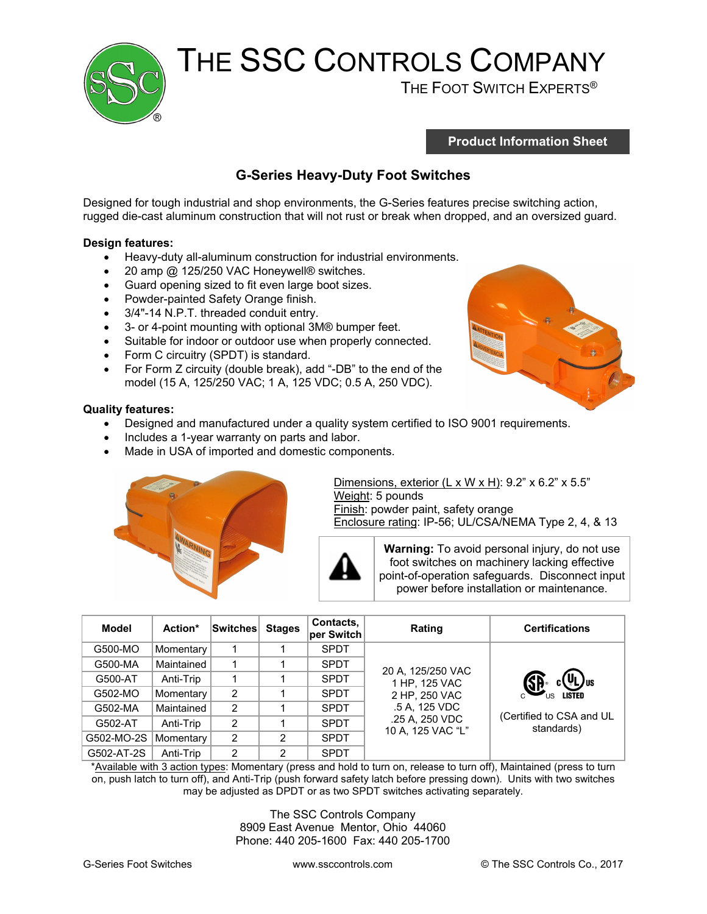

# THE SSC CONTROLS COMPANY<br>THE FOOT SWITCH EXPERTS®

**Product Information Sheet** 

#### **G-Series Heavy-Duty Foot Switches**

Designed for tough industrial and shop environments, the G-Series features precise switching action, rugged die-cast aluminum construction that will not rust or break when dropped, and an oversized guard.

#### **Design features:**

- Heavy-duty all-aluminum construction for industrial environments.
- 20 amp @ 125/250 VAC Honeywell® switches.
- Guard opening sized to fit even large boot sizes.<br>• Powder-painted Safety Orange finish.
- Powder-painted Safety Orange finish.
- 3/4"-14 N.P.T. threaded conduit entry.
- 3- or 4-point mounting with optional 3M® bumper feet.
- Suitable for indoor or outdoor use when properly connected.
- Form C circuitry (SPDT) is standard.
- For Form Z circuity (double break), add "-DB" to the end of the model (15 A, 125/250 VAC; 1 A, 125 VDC; 0.5 A, 250 VDC).



#### **Quality features:**

- Designed and manufactured under a quality system certified to ISO 9001 requirements.
- Includes a 1-year warranty on parts and labor.
- Made in USA of imported and domestic components.



Dimensions, exterior  $(L \times W \times H)$ : 9.2" x 6.2" x 5.5" Weight: 5 pounds Finish: powder paint, safety orange Enclosure rating: IP-56; UL/CSA/NEMA Type 2, 4, & 13



**Warning:** To avoid personal injury, do not use foot switches on machinery lacking effective point-of-operation safeguards. Disconnect input power before installation or maintenance.

| Model      | Action*    | <b>Switches</b> | <b>Stages</b> | Contacts,<br>per Switch | Rating                                                                                                      | <b>Certifications</b>                                                                      |
|------------|------------|-----------------|---------------|-------------------------|-------------------------------------------------------------------------------------------------------------|--------------------------------------------------------------------------------------------|
| G500-MO    | Momentary  |                 |               | <b>SPDT</b>             |                                                                                                             |                                                                                            |
| G500-MA    | Maintained |                 |               | <b>SPDT</b>             | 20 A, 125/250 VAC<br>1 HP, 125 VAC<br>2 HP, 250 VAC<br>.5 A, 125 VDC<br>.25 A, 250 VDC<br>10 A, 125 VAC "L" | $(\Psi_{\text{L}})_{\text{us}}$<br><b>LISTED</b><br>(Certified to CSA and UL<br>standards) |
| G500-AT    | Anti-Trip  |                 |               | <b>SPDT</b>             |                                                                                                             |                                                                                            |
| G502-MO    | Momentary  | 2               |               | <b>SPDT</b>             |                                                                                                             |                                                                                            |
| G502-MA    | Maintained | 2               |               | <b>SPDT</b>             |                                                                                                             |                                                                                            |
| G502-AT    | Anti-Trip  | 2               |               | <b>SPDT</b>             |                                                                                                             |                                                                                            |
| G502-MO-2S | Momentary  | 2               | 2             | <b>SPDT</b>             |                                                                                                             |                                                                                            |
| G502-AT-2S | Anti-Trip  | 2               | 2             | <b>SPDT</b>             |                                                                                                             |                                                                                            |

\*Available with 3 action types: Momentary (press and hold to turn on, release to turn off), Maintained (press to turn on, push latch to turn off), and Anti-Trip (push forward safety latch before pressing down). Units with two switches may be adjusted as DPDT or as two SPDT switches activating separately.

> The SSC Controls Company 8909 East Avenue Mentor, Ohio 44060 Phone: 440 205-1600 Fax: 440 205-1700